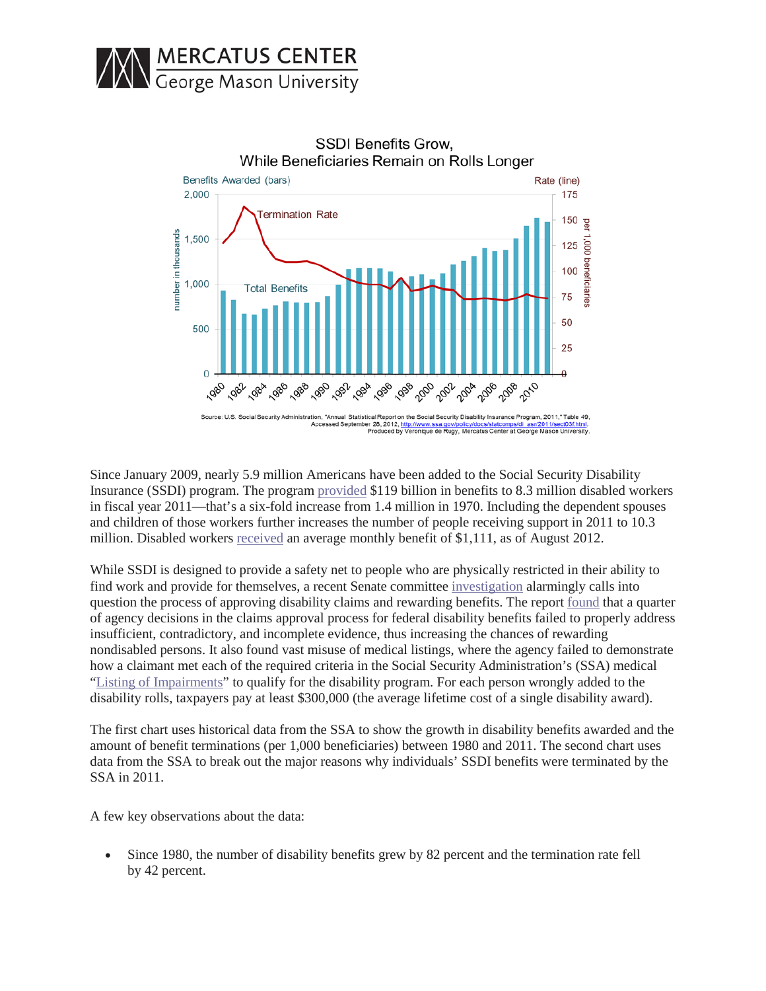



Since January 2009, nearly 5.9 million Americans have been added to the Social Security Disability Insurance (SSDI) program. The program [provided](http://www.cbo.gov/sites/default/files/cbofiles/attachments/43421-DisabilityInsurance_print.pdf) \$119 billion in benefits to 8.3 million disabled workers in fiscal year 2011—that's a six-fold increase from 1.4 million in 1970. Including the dependent spouses and children of those workers further increases the number of people receiving support in 2011 to 10.3 million. Disabled workers [received](http://www.ssa.gov/policy/docs/quickfacts/stat_snapshot/index.html#table2) an average monthly benefit of \$1,111, as of August 2012.

While SSDI is designed to provide a safety net to people who are physically restricted in their ability to find work and provide for themselves, a recent Senate committee [investigation](http://www.coburn.senate.gov/public/index.cfm?a=Files.Serve&File_id=6f2d2252-50e8-4257-8c6f-0c342896d904) alarmingly calls into question the process of approving disability claims and rewarding benefits. The report [found](http://www.coburn.senate.gov/public/index.cfm?a=Files.Serve&File_id=6f2d2252-50e8-4257-8c6f-0c342896d904) that a quarter of agency decisions in the claims approval process for federal disability benefits failed to properly address insufficient, contradictory, and incomplete evidence, thus increasing the chances of rewarding nondisabled persons. It also found vast misuse of medical listings, where the agency failed to demonstrate how a claimant met each of the required criteria in the Social Security Administration's (SSA) medical "Listing of [Impairments"](http://www.ssa.gov/disability/professionals/bluebook/listing-impairments.htm) to qualify for the disability program. For each person wrongly added to the disability rolls, taxpayers pay at least \$300,000 (the average lifetime cost of a single disability award).

The first chart uses historical data from the SSA to show the growth in disability benefits awarded and the amount of benefit terminations (per 1,000 beneficiaries) between 1980 and 2011. The second chart uses data from the SSA to break out the major reasons why individuals' SSDI benefits were terminated by the SSA in 2011.

A few key observations about the data:

• Since 1980, the number of disability benefits grew by 82 percent and the termination rate fell by 42 percent.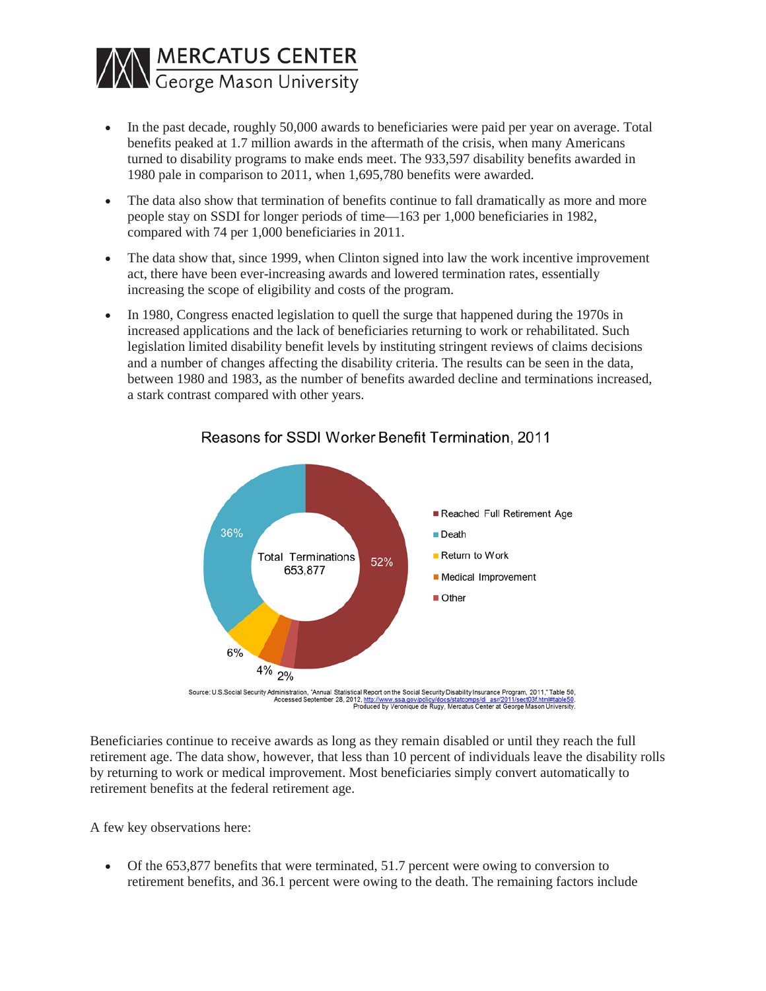

- In the past decade, roughly 50,000 awards to beneficiaries were paid per year on average. Total benefits peaked at 1.7 million awards in the aftermath of the crisis, when many Americans turned to disability programs to make ends meet. The 933,597 disability benefits awarded in 1980 pale in comparison to 2011, when 1,695,780 benefits were awarded.
- The data also show that termination of benefits continue to fall dramatically as more and more people stay on SSDI for longer periods of time—163 per 1,000 beneficiaries in 1982, compared with 74 per 1,000 beneficiaries in 2011.
- The data show that, since 1999, when Clinton signed into law the work incentive improvement act, there have been ever-increasing awards and lowered termination rates, essentially increasing the scope of eligibility and costs of the program.
- In 1980, Congress enacted legislation to quell the surge that happened during the 1970s in increased applications and the lack of beneficiaries returning to work or rehabilitated. Such legislation limited disability benefit levels by instituting stringent reviews of claims decisions and a number of changes affecting the disability criteria. The results can be seen in the data, between 1980 and 1983, as the number of benefits awarded decline and terminations increased, a stark contrast compared with other years.



## Reasons for SSDI Worker Benefit Termination, 2011

Beneficiaries continue to receive awards as long as they remain disabled or until they reach the full retirement age. The data show, however, that less than 10 percent of individuals leave the disability rolls by returning to work or medical improvement. Most beneficiaries simply convert automatically to retirement benefits at the federal retirement age.

A few key observations here:

• Of the 653,877 benefits that were terminated, 51.7 percent were owing to conversion to retirement benefits, and 36.1 percent were owing to the death. The remaining factors include